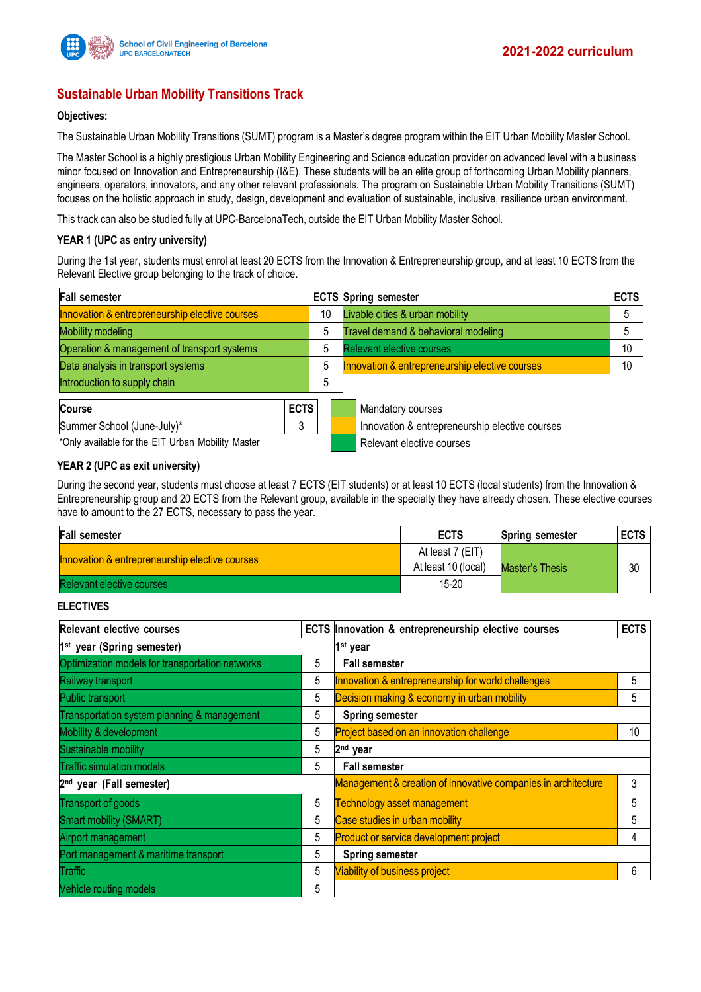

# **Sustainable Urban Mobility Transitions Track**

### **Objectives:**

The Sustainable Urban Mobility Transitions (SUMT) program is a Master's degree program within the EIT Urban Mobility Master School.

The Master School is a highly prestigious Urban Mobility Engineering and Science education provider on advanced level with a business minor focused on Innovation and Entrepreneurship (I&E). These students will be an elite group of forthcoming Urban Mobility planners, engineers, operators, innovators, and any other relevant professionals. The program on Sustainable Urban Mobility Transitions (SUMT) focuses on the holistic approach in study, design, development and evaluation of sustainable, inclusive, resilience urban environment.

This track can also be studied fully at UPC-BarcelonaTech, outside the EIT Urban Mobility Master School.

#### **YEAR 1 (UPC as entry university)**

During the 1st year, students must enrol at least 20 ECTS from the Innovation & Entrepreneurship group, and at least 10 ECTS from the Relevant Elective group belonging to the track of choice.

| <b>Fall semester</b>                              |             |    | <b>ECTS Spring semester</b>                    | <b>ECTS</b> |
|---------------------------------------------------|-------------|----|------------------------------------------------|-------------|
| Innovation & entrepreneurship elective courses    |             | 10 | Livable cities & urban mobility                |             |
| <b>Mobility modeling</b>                          |             | 5  | Travel demand & behavioral modeling            | 5           |
| Operation & management of transport systems       |             | 5  | <b>Relevant elective courses</b>               |             |
| Data analysis in transport systems                |             | 5  | Innovation & entrepreneurship elective courses | 10          |
| Introduction to supply chain                      |             | 5  |                                                |             |
| <b>Course</b>                                     | <b>ECTS</b> |    | Mandatory courses                              |             |
| Summer School (June-July)*                        | 3           |    | Innovation & entrepreneurship elective courses |             |
| *Only available for the EIT Urban Mobility Master |             |    | Relevant elective courses                      |             |

### **YEAR 2 (UPC as exit university)**

During the second year, students must choose at least 7 ECTS (EIT students) or at least 10 ECTS (local students) from the Innovation & Entrepreneurship group and 20 ECTS from the Relevant group, available in the specialty they have already chosen. These elective courses have to amount to the 27 ECTS, necessary to pass the year.

| <b>Fall semester</b>                           | <b>ECTS</b>                             | Spring semester        | <b>ECTS</b> |
|------------------------------------------------|-----------------------------------------|------------------------|-------------|
| Innovation & entrepreneurship elective courses | At least 7 (EIT)<br>At least 10 (local) | <b>Master's Thesis</b> | 30          |
| Relevant elective courses                      | 15-20                                   |                        |             |

# **ELECTIVES**

| Relevant elective courses                       |   | ECTS Innovation & entrepreneurship elective courses           | <b>ECTS</b> |  |  |
|-------------------------------------------------|---|---------------------------------------------------------------|-------------|--|--|
| 1 <sup>st</sup> year (Spring semester)          |   | 1 <sup>st</sup> year                                          |             |  |  |
| Optimization models for transportation networks | 5 | <b>Fall semester</b>                                          |             |  |  |
| Railway transport                               | 5 | Innovation & entrepreneurship for world challenges            | 5           |  |  |
| Public transport                                | 5 | Decision making & economy in urban mobility                   | 5           |  |  |
| Transportation system planning & management     | 5 | <b>Spring semester</b>                                        |             |  |  |
| Mobility & development                          | 5 | Project based on an innovation challenge                      | 10          |  |  |
| Sustainable mobility                            | 5 | 2 <sup>nd</sup> year                                          |             |  |  |
| <b>Traffic simulation models</b>                | 5 | <b>Fall semester</b>                                          |             |  |  |
| 2 <sup>nd</sup> year (Fall semester)            |   | Management & creation of innovative companies in architecture | 3           |  |  |
| Transport of goods                              | 5 | Technology asset management                                   | 5           |  |  |
| <b>Smart mobility (SMART)</b>                   | 5 | Case studies in urban mobility                                | 5           |  |  |
| Airport management                              | 5 | <b>Product or service development project</b>                 | 4           |  |  |
| Port management & maritime transport            | 5 | <b>Spring semester</b>                                        |             |  |  |
| Traffic                                         | 5 | <b>Viability of business project</b>                          | 6           |  |  |
| Vehicle routing models                          | 5 |                                                               |             |  |  |